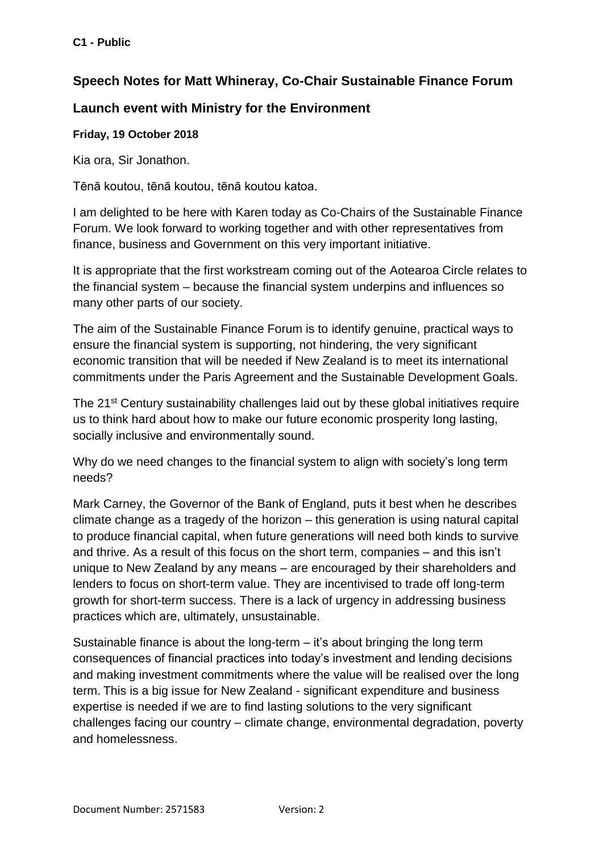## **Speech Notes for Matt Whineray, Co-Chair Sustainable Finance Forum**

## **Launch event with Ministry for the Environment**

## **Friday, 19 October 2018**

Kia ora, Sir Jonathon.

Tēnā koutou, tēnā koutou, tēnā koutou katoa.

I am delighted to be here with Karen today as Co-Chairs of the Sustainable Finance Forum. We look forward to working together and with other representatives from finance, business and Government on this very important initiative.

It is appropriate that the first workstream coming out of the Aotearoa Circle relates to the financial system – because the financial system underpins and influences so many other parts of our society.

The aim of the Sustainable Finance Forum is to identify genuine, practical ways to ensure the financial system is supporting, not hindering, the very significant economic transition that will be needed if New Zealand is to meet its international commitments under the Paris Agreement and the Sustainable Development Goals.

The 21<sup>st</sup> Century sustainability challenges laid out by these global initiatives require us to think hard about how to make our future economic prosperity long lasting, socially inclusive and environmentally sound.

Why do we need changes to the financial system to align with society's long term needs?

Mark Carney, the Governor of the Bank of England, puts it best when he describes climate change as a tragedy of the horizon – this generation is using natural capital to produce financial capital, when future generations will need both kinds to survive and thrive. As a result of this focus on the short term, companies – and this isn't unique to New Zealand by any means – are encouraged by their shareholders and lenders to focus on short-term value. They are incentivised to trade off long-term growth for short-term success. There is a lack of urgency in addressing business practices which are, ultimately, unsustainable.

Sustainable finance is about the long-term – it's about bringing the long term consequences of financial practices into today's investment and lending decisions and making investment commitments where the value will be realised over the long term. This is a big issue for New Zealand - significant expenditure and business expertise is needed if we are to find lasting solutions to the very significant challenges facing our country – climate change, environmental degradation, poverty and homelessness.